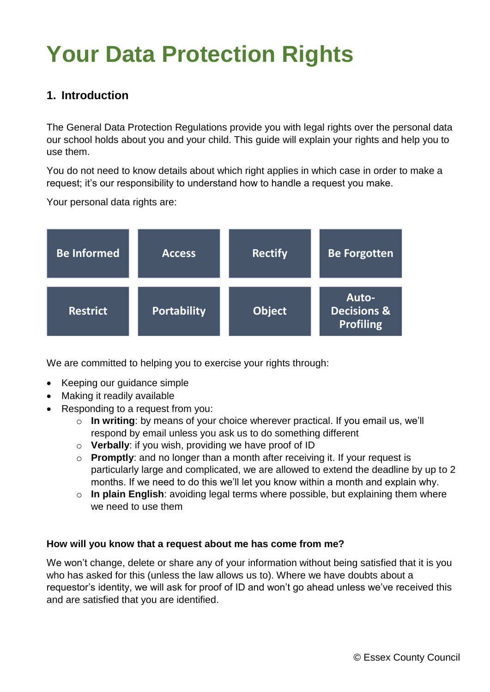# **Your Data Protection Rights**

#### **1. Introduction**

The General Data Protection Regulations provide you with legal rights over the personal data our school holds about you and your child. This guide will explain your rights and help you to use them.

You do not need to know details about which right applies in which case in order to make a request; it's our responsibility to understand how to handle a request you make.

Your personal data rights are:

| <b>Be Informed</b> | <b>Access</b>      | <b>Rectify</b> | <b>Be Forgotten</b>                                 |
|--------------------|--------------------|----------------|-----------------------------------------------------|
| <b>Restrict</b>    | <b>Portability</b> | <b>Object</b>  | Auto-<br><b>Decisions &amp;</b><br><b>Profiling</b> |

We are committed to helping you to exercise your rights through:

- Keeping our guidance simple
- Making it readily available
- Responding to a request from you:
	- o **In writing**: by means of your choice wherever practical. If you email us, we'll respond by email unless you ask us to do something different
	- o **Verbally**: if you wish, providing we have proof of ID
	- o **Promptly**: and no longer than a month after receiving it. If your request is particularly large and complicated, we are allowed to extend the deadline by up to 2 months. If we need to do this we'll let you know within a month and explain why.
	- o **In plain English**: avoiding legal terms where possible, but explaining them where we need to use them

#### **How will you know that a request about me has come from me?**

We won't change, delete or share any of your information without being satisfied that it is you who has asked for this (unless the law allows us to). Where we have doubts about a requestor's identity, we will ask for proof of ID and won't go ahead unless we've received this and are satisfied that you are identified.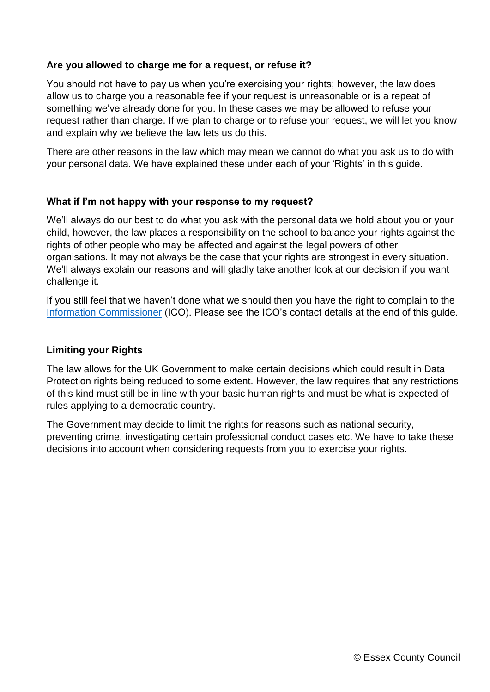#### **Are you allowed to charge me for a request, or refuse it?**

You should not have to pay us when you're exercising your rights; however, the law does allow us to charge you a reasonable fee if your request is unreasonable or is a repeat of something we've already done for you. In these cases we may be allowed to refuse your request rather than charge. If we plan to charge or to refuse your request, we will let you know and explain why we believe the law lets us do this.

There are other reasons in the law which may mean we cannot do what you ask us to do with your personal data. We have explained these under each of your 'Rights' in this guide.

#### **What if I'm not happy with your response to my request?**

We'll always do our best to do what you ask with the personal data we hold about you or your child, however, the law places a responsibility on the school to balance your rights against the rights of other people who may be affected and against the legal powers of other organisations. It may not always be the case that your rights are strongest in every situation. We'll always explain our reasons and will gladly take another look at our decision if you want challenge it.

If you still feel that we haven't done what we should then you have the right to complain to the [Information Commissioner](https://ico.org.uk/) (ICO). Please see the ICO's contact details at the end of this guide.

#### **Limiting your Rights**

The law allows for the UK Government to make certain decisions which could result in Data Protection rights being reduced to some extent. However, the law requires that any restrictions of this kind must still be in line with your basic human rights and must be what is expected of rules applying to a democratic country.

The Government may decide to limit the rights for reasons such as national security, preventing crime, investigating certain professional conduct cases etc. We have to take these decisions into account when considering requests from you to exercise your rights.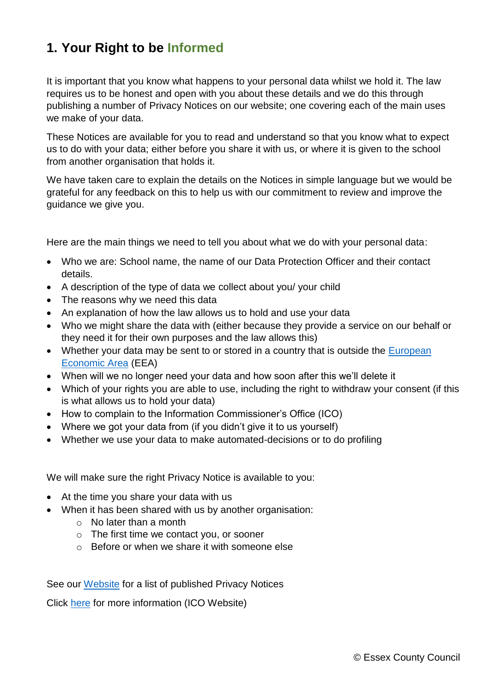## **1. Your Right to be Informed**

It is important that you know what happens to your personal data whilst we hold it. The law requires us to be honest and open with you about these details and we do this through publishing a number of Privacy Notices on our website; one covering each of the main uses we make of your data.

These Notices are available for you to read and understand so that you know what to expect us to do with your data; either before you share it with us, or where it is given to the school from another organisation that holds it.

We have taken care to explain the details on the Notices in simple language but we would be grateful for any feedback on this to help us with our commitment to review and improve the guidance we give you.

Here are the main things we need to tell you about what we do with your personal data:

- Who we are: School name, the name of our Data Protection Officer and their contact details.
- A description of the type of data we collect about you/ your child
- The reasons why we need this data
- An explanation of how the law allows us to hold and use your data
- Who we might share the data with (either because they provide a service on our behalf or they need it for their own purposes and the law allows this)
- Whether your data may be sent to or stored in a country that is outside the European [Economic Area](https://www.gov.uk/eu-eea) (EEA)
- When will we no longer need your data and how soon after this we'll delete it
- Which of your rights you are able to use, including the right to withdraw your consent (if this is what allows us to hold your data)
- How to complain to the Information Commissioner's Office (ICO)
- Where we got your data from (if you didn't give it to us yourself)
- Whether we use your data to make automated-decisions or to do profiling

We will make sure the right Privacy Notice is available to you:

- At the time you share your data with us
- When it has been shared with us by another organisation:
	- o No later than a month
	- o The first time we contact you, or sooner
	- $\circ$  Before or when we share it with someone else

See our [Website](file:///C:/Users/Lillian.Denhart/AppData/Local/Microsoft/Windows/INetCache/Content.Word/Dummy%20Hyperlink) for a list of published Privacy Notices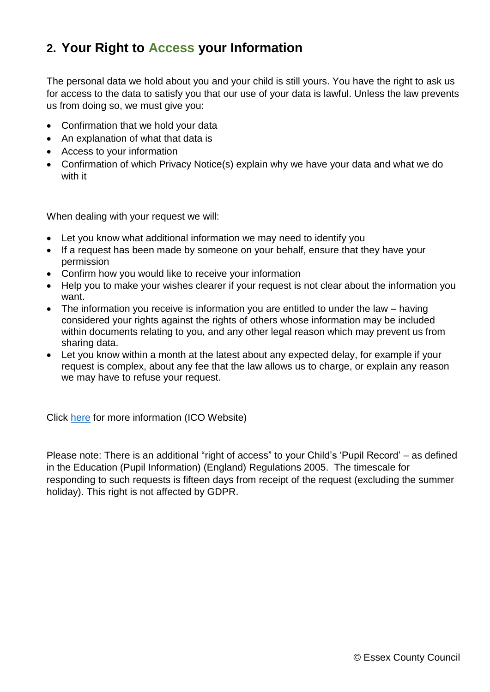#### **2. Your Right to Access your Information**

The personal data we hold about you and your child is still yours. You have the right to ask us for access to the data to satisfy you that our use of your data is lawful. Unless the law prevents us from doing so, we must give you:

- Confirmation that we hold your data
- An explanation of what that data is
- Access to your information
- Confirmation of which Privacy Notice(s) explain why we have your data and what we do with it

When dealing with your request we will:

- Let you know what additional information we may need to identify you
- If a request has been made by someone on your behalf, ensure that they have your permission
- Confirm how you would like to receive your information
- Help you to make your wishes clearer if your request is not clear about the information you want.
- The information you receive is information you are entitled to under the law having considered your rights against the rights of others whose information may be included within documents relating to you, and any other legal reason which may prevent us from sharing data.
- Let you know within a month at the latest about any expected delay, for example if your request is complex, about any fee that the law allows us to charge, or explain any reason we may have to refuse your request.

Click [here](https://ico.org.uk/for-organisations/guide-to-the-general-data-protection-regulation-gdpr/individual-rights/right-of-access/) for more information (ICO Website)

Please note: There is an additional "right of access" to your Child's 'Pupil Record' – as defined in the Education (Pupil Information) (England) Regulations 2005. The timescale for responding to such requests is fifteen days from receipt of the request (excluding the summer holiday). This right is not affected by GDPR.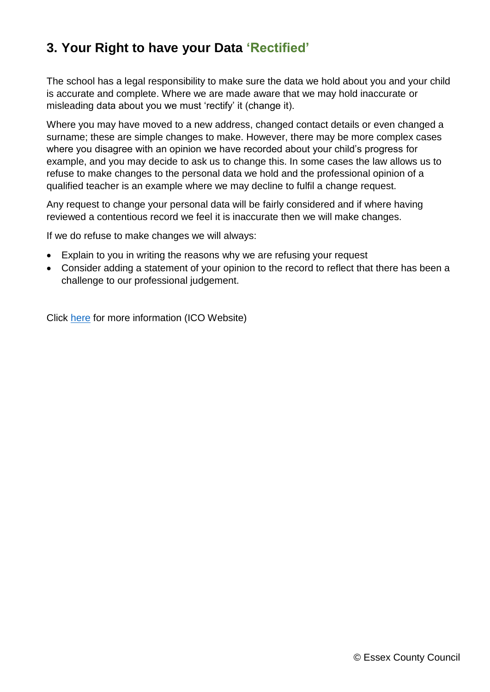## **3. Your Right to have your Data 'Rectified'**

The school has a legal responsibility to make sure the data we hold about you and your child is accurate and complete. Where we are made aware that we may hold inaccurate or misleading data about you we must 'rectify' it (change it).

Where you may have moved to a new address, changed contact details or even changed a surname; these are simple changes to make. However, there may be more complex cases where you disagree with an opinion we have recorded about your child's progress for example, and you may decide to ask us to change this. In some cases the law allows us to refuse to make changes to the personal data we hold and the professional opinion of a qualified teacher is an example where we may decline to fulfil a change request.

Any request to change your personal data will be fairly considered and if where having reviewed a contentious record we feel it is inaccurate then we will make changes.

If we do refuse to make changes we will always:

- Explain to you in writing the reasons why we are refusing your request
- Consider adding a statement of your opinion to the record to reflect that there has been a challenge to our professional judgement.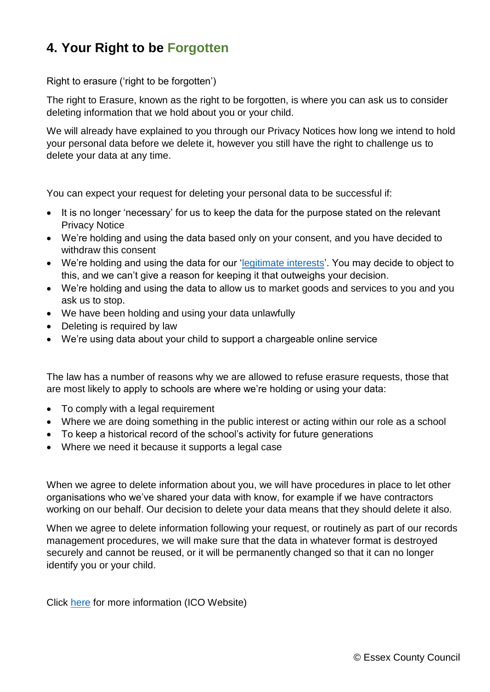## **4. Your Right to be Forgotten**

Right to erasure ('right to be forgotten')

The right to Erasure, known as the right to be forgotten, is where you can ask us to consider deleting information that we hold about you or your child.

We will already have explained to you through our Privacy Notices how long we intend to hold your personal data before we delete it, however you still have the right to challenge us to delete your data at any time.

You can expect your request for deleting your personal data to be successful if:

- It is no longer 'necessary' for us to keep the data for the purpose stated on the relevant Privacy Notice
- We're holding and using the data based only on your consent, and you have decided to withdraw this consent
- We're holding and using the data for our ['legitimate interests'](https://ico.org.uk/for-organisations/guide-to-the-general-data-protection-regulation-gdpr/lawful-basis-for-processing/legitimate-interests/). You may decide to object to this, and we can't give a reason for keeping it that outweighs your decision.
- We're holding and using the data to allow us to market goods and services to you and you ask us to stop.
- We have been holding and using your data unlawfully
- Deleting is required by law
- We're using data about your child to support a chargeable online service

The law has a number of reasons why we are allowed to refuse erasure requests, those that are most likely to apply to schools are where we're holding or using your data:

- To comply with a legal requirement
- Where we are doing something in the public interest or acting within our role as a school
- To keep a historical record of the school's activity for future generations
- Where we need it because it supports a legal case

When we agree to delete information about you, we will have procedures in place to let other organisations who we've shared your data with know, for example if we have contractors working on our behalf. Our decision to delete your data means that they should delete it also.

When we agree to delete information following your request, or routinely as part of our records management procedures, we will make sure that the data in whatever format is destroyed securely and cannot be reused, or it will be permanently changed so that it can no longer identify you or your child.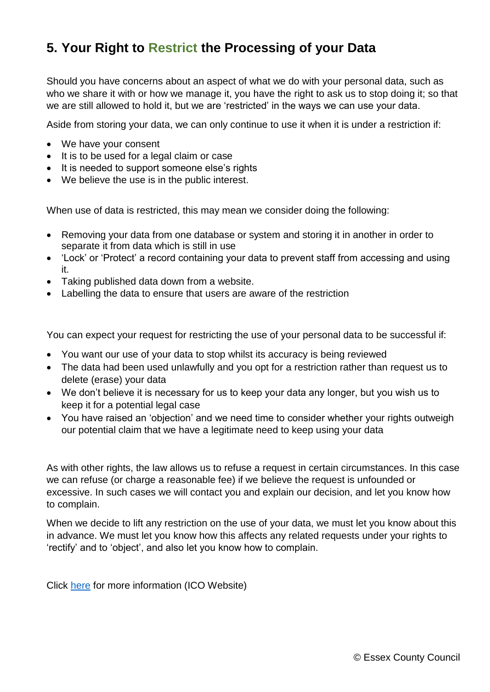## **5. Your Right to Restrict the Processing of your Data**

Should you have concerns about an aspect of what we do with your personal data, such as who we share it with or how we manage it, you have the right to ask us to stop doing it; so that we are still allowed to hold it, but we are 'restricted' in the ways we can use your data.

Aside from storing your data, we can only continue to use it when it is under a restriction if:

- We have your consent
- It is to be used for a legal claim or case
- It is needed to support someone else's rights
- We believe the use is in the public interest.

When use of data is restricted, this may mean we consider doing the following:

- Removing your data from one database or system and storing it in another in order to separate it from data which is still in use
- 'Lock' or 'Protect' a record containing your data to prevent staff from accessing and using it.
- Taking published data down from a website.
- Labelling the data to ensure that users are aware of the restriction

You can expect your request for restricting the use of your personal data to be successful if:

- You want our use of your data to stop whilst its accuracy is being reviewed
- The data had been used unlawfully and you opt for a restriction rather than request us to delete (erase) your data
- We don't believe it is necessary for us to keep your data any longer, but you wish us to keep it for a potential legal case
- You have raised an 'objection' and we need time to consider whether your rights outweigh our potential claim that we have a legitimate need to keep using your data

As with other rights, the law allows us to refuse a request in certain circumstances. In this case we can refuse (or charge a reasonable fee) if we believe the request is unfounded or excessive. In such cases we will contact you and explain our decision, and let you know how to complain.

When we decide to lift any restriction on the use of your data, we must let you know about this in advance. We must let you know how this affects any related requests under your rights to 'rectify' and to 'object', and also let you know how to complain.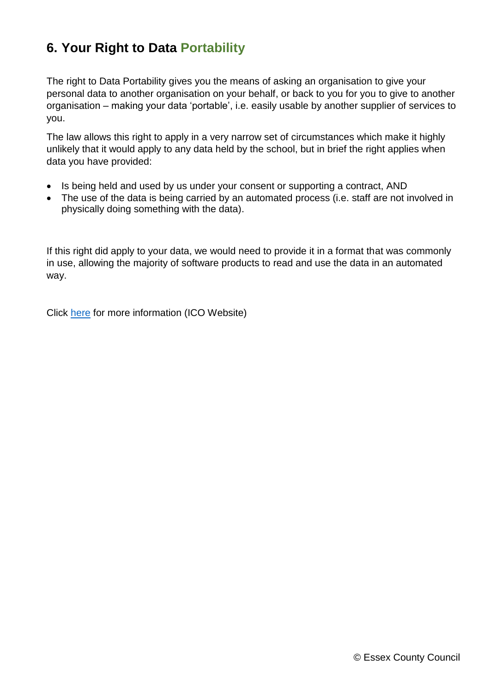## **6. Your Right to Data Portability**

The right to Data Portability gives you the means of asking an organisation to give your personal data to another organisation on your behalf, or back to you for you to give to another organisation – making your data 'portable', i.e. easily usable by another supplier of services to you.

The law allows this right to apply in a very narrow set of circumstances which make it highly unlikely that it would apply to any data held by the school, but in brief the right applies when data you have provided:

- Is being held and used by us under your consent or supporting a contract, AND
- The use of the data is being carried by an automated process (i.e. staff are not involved in physically doing something with the data).

If this right did apply to your data, we would need to provide it in a format that was commonly in use, allowing the majority of software products to read and use the data in an automated way.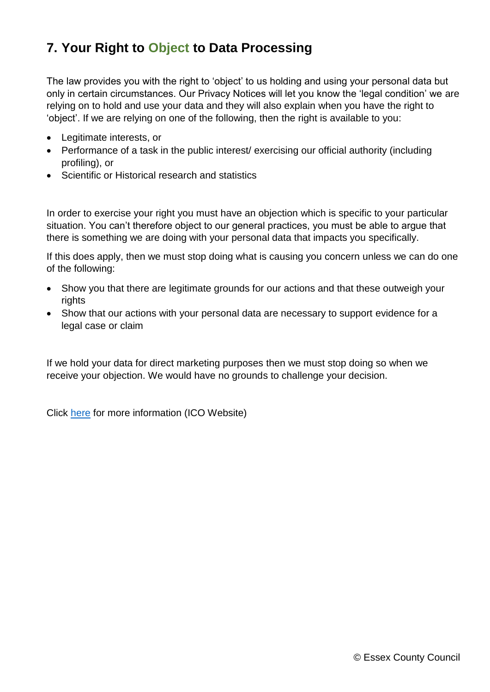## **7. Your Right to Object to Data Processing**

The law provides you with the right to 'object' to us holding and using your personal data but only in certain circumstances. Our Privacy Notices will let you know the 'legal condition' we are relying on to hold and use your data and they will also explain when you have the right to 'object'. If we are relying on one of the following, then the right is available to you:

- Legitimate interests, or
- Performance of a task in the public interest/ exercising our official authority (including profiling), or
- Scientific or Historical research and statistics

In order to exercise your right you must have an objection which is specific to your particular situation. You can't therefore object to our general practices, you must be able to argue that there is something we are doing with your personal data that impacts you specifically.

If this does apply, then we must stop doing what is causing you concern unless we can do one of the following:

- Show you that there are legitimate grounds for our actions and that these outweigh your rights
- Show that our actions with your personal data are necessary to support evidence for a legal case or claim

If we hold your data for direct marketing purposes then we must stop doing so when we receive your objection. We would have no grounds to challenge your decision.